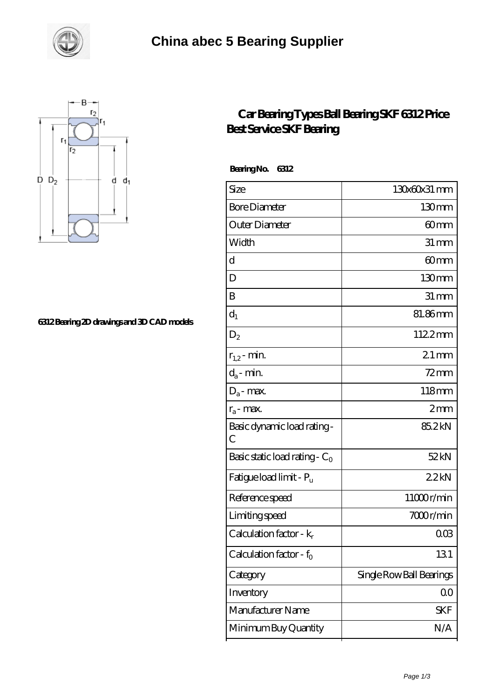



## **[6312 Bearing 2D drawings and 3D CAD models](https://m.smokehousewinery.com/pic-563707.html)**

## **[Car Bearing Types Ball Bearing SKF 6312 Price](https://m.smokehousewinery.com/skf-6312-Bearing/car-bearing-types-ball-bearing-skf-6312-price-best-service-skf-bearing.html) [Best Service SKF Bearing](https://m.smokehousewinery.com/skf-6312-Bearing/car-bearing-types-ball-bearing-skf-6312-price-best-service-skf-bearing.html)**

 **Bearing No. 6312**

| Size                                | 130x60x31 mm             |
|-------------------------------------|--------------------------|
| <b>Bore Diameter</b>                | 130mm                    |
| Outer Diameter                      | 60mm                     |
| Width                               | $31 \,\mathrm{mm}$       |
| d                                   | 60mm                     |
| D                                   | 130 <sub>mm</sub>        |
| B                                   | $31 \,\mathrm{mm}$       |
| $d_1$                               | 81.86mm                  |
| $D_2$                               | 1122mm                   |
| $r_{1,2}$ - min.                    | $21 \,\mathrm{mm}$       |
| $d_a$ - min.                        | $72$ mm                  |
| $D_a$ - max.                        | 118mm                    |
| $r_a$ - max.                        | 2mm                      |
| Basic dynamic load rating-<br>С     | 85.2kN                   |
| Basic static load rating - $C_0$    | 52kN                     |
| Fatigue load limit - P <sub>u</sub> | 22kN                     |
| Reference speed                     | 11000r/min               |
| Limiting speed                      | 7000r/min                |
| Calculation factor - $k_r$          | $00\%$                   |
| Calculation factor - $f_0$          | 131                      |
| Category                            | Single Row Ball Bearings |
| Inventory                           | 00                       |
| Manufacturer Name                   | SKF                      |
| Minimum Buy Quantity                | N/A                      |
|                                     |                          |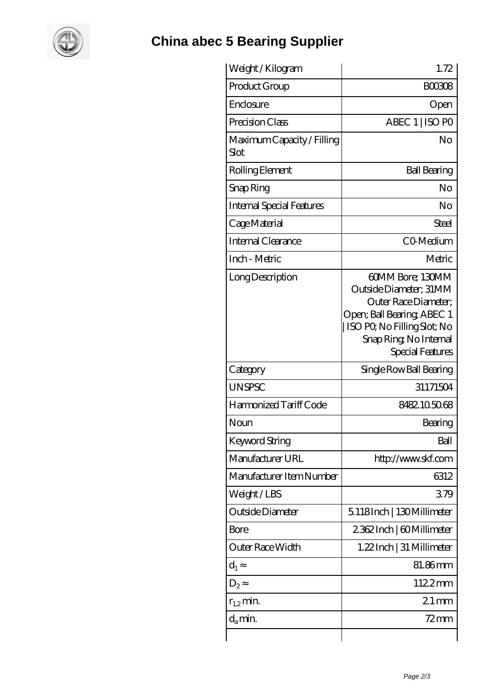

## **[China abec 5 Bearing Supplier](https://m.smokehousewinery.com)**

| Weight /Kilogram                   | 1.72                                                                                                                                                                          |
|------------------------------------|-------------------------------------------------------------------------------------------------------------------------------------------------------------------------------|
| Product Group                      | <b>BOO308</b>                                                                                                                                                                 |
| Enclosure                          | Open                                                                                                                                                                          |
| Precision Class                    | ABEC 1   ISO PO                                                                                                                                                               |
| Maximum Capacity / Filling<br>Slot | No                                                                                                                                                                            |
| Rolling Element                    | <b>Ball Bearing</b>                                                                                                                                                           |
| Snap Ring                          | No                                                                                                                                                                            |
| <b>Internal Special Features</b>   | No                                                                                                                                                                            |
| Cage Material                      | Steel                                                                                                                                                                         |
| <b>Internal Clearance</b>          | CO-Medium                                                                                                                                                                     |
| Inch - Metric                      | Metric                                                                                                                                                                        |
| Long Description                   | 60MM Bore; 130MM<br>Outside Diameter; 31MM<br>Outer Race Diameter;<br>Open; Ball Bearing; ABEC 1<br>ISO PO, No Filling Slot; No<br>Snap Ring, No Internal<br>Special Features |
| Category                           | Single Row Ball Bearing                                                                                                                                                       |
| <b>UNSPSC</b>                      | 31171504                                                                                                                                                                      |
| Harmonized Tariff Code             | 8482105068                                                                                                                                                                    |
| Noun                               | Bearing                                                                                                                                                                       |
| <b>Keyword String</b>              | Ball                                                                                                                                                                          |
| Manufacturer URL                   | http://www.skf.com                                                                                                                                                            |
| Manufacturer Item Number           | 6312                                                                                                                                                                          |
| Weight/LBS                         | 379                                                                                                                                                                           |
| Outside Diameter                   | 5118Inch   130Millimeter                                                                                                                                                      |
| <b>Bore</b>                        | 2362Inch   60Millimeter                                                                                                                                                       |
| Outer Race Width                   | 1.22Inch   31 Millimeter                                                                                                                                                      |
| $d_1$                              | 81.86mm                                                                                                                                                                       |
| $D_2$                              | 1122mm                                                                                                                                                                        |
| $r_{1,2}$ min.                     | $21 \,\mathrm{mm}$                                                                                                                                                            |
| $d_{a}$ min.                       | $72 \text{mm}$                                                                                                                                                                |
|                                    |                                                                                                                                                                               |